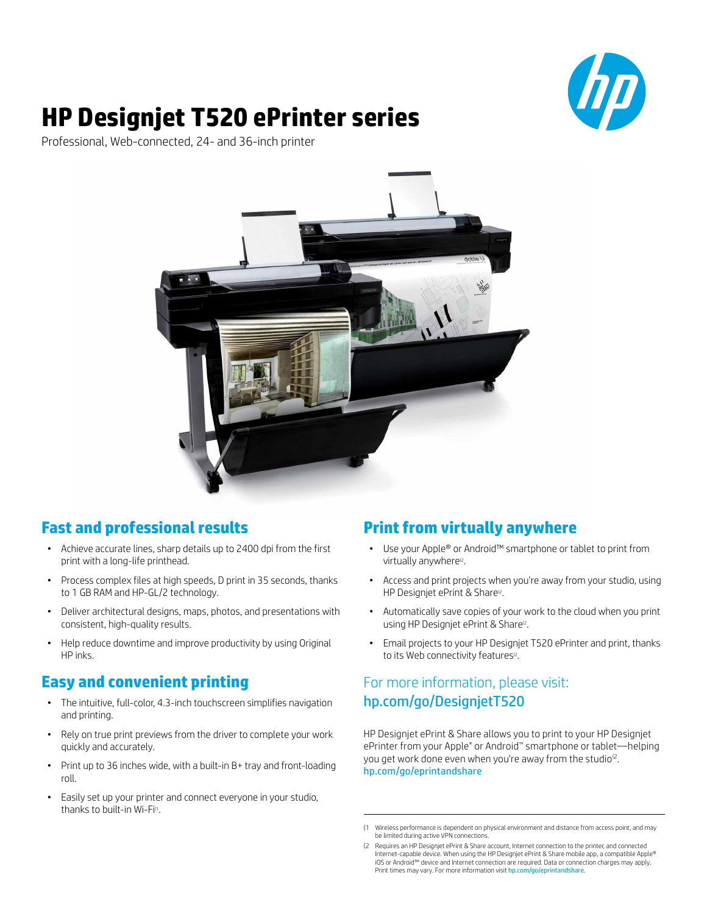

# **HP Designjet T520 ePrinter series**

Professional, Web-connected, 24- and 36-inch printer



# **Fast and professional results**

- • Achieve accurate lines, sharp details up to 2400 dpi from the first print with a long-life printhead.
- Process complex files at high speeds, D print in 35 seconds, thanks to 1 GB RAM and HP-GL/2 technology.
- • Deliver architectural designs, maps, photos, and presentations with consistent, high-quality results.
- Help reduce downtime and improve productivity by using Original HP inks.

## **Easy and convenient printing**

- The intuitive, full-color, 4.3-inch touchscreen simplifies navigation and printing.
- Rely on true print previews from the driver to complete your work quickly and accurately.
- Print up to 36 inches wide, with a built-in B+ tray and front-loading roll.
- • Easily set up your printer and connect everyone in your studio, thanks to built-in Wi-Fi<sup>(1</sup>.

# **Print from virtually anywhere**

- Use vour Apple® or Android™ smartphone or tablet to print from virtually anywhere<sup>(2</sup>.
- Access and print projects when you're away from your studio, using HP Designjet ePrint & Share<sup>(2</sup>.
- Automatically save copies of your work to the cloud when you print using HP Designiet ePrint & Share<sup>®</sup>.
- Email projects to your HP Designjet T520 ePrinter and print, thanks to its Web connectivity features<sup>(2</sup>.

# For more information, please visit: [hp.com/go/DesignjetT520](http://www.hp.com/go/DesignjetT520)

HP Designjet ePrint & Share allows you to print to your HP Designjet ePrinter from your Apple® or Android™ smartphone or tablet—helping you get work done even when you're away from the studio<sup>(2</sup>. [hp.com/go/eprintandshare](https://h30510.www3.hp.com/?jumpid=re_R10931_go/eprintandshare)

<sup>(1</sup> Wireless performance is dependent on physical environment and distance from access point, and may be limited during active VPN connections.

<sup>(2</sup> Requires an HP Designjet ePrint & Share account, Internet connection to the printer, and connected Internet-capable device. When using the HP Designjet ePrint & Share mobile app, a compatible Apple®<br>iOS or Android™ device and Internet connection are required. Data or connection charges may apply. Print times may vary. For more information visit hp.com/go/eprinta